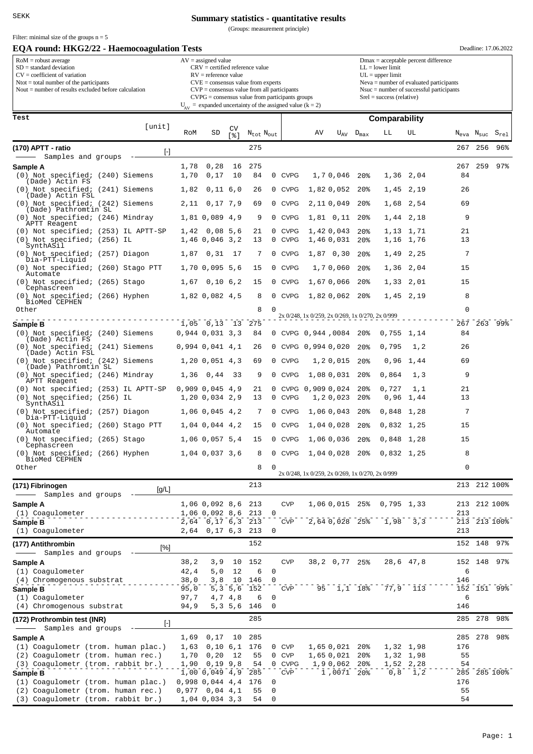**Summary statistics - quantitative results**

(Groups: measurement principle)

| Filter: minimal size of the groups $n = 5$<br>EQA round: HKG2/22 - Haemocoagulation Tests                                                                                                                   |           |                                                                                                                                                                                                                                                                                                                          |                                         |                       |                                   |                  |                            |                                                  |                            |                                    |                                                                                                                                                                                                             |                        |           |                                   | Deadline: 17.06.2022        |  |  |
|-------------------------------------------------------------------------------------------------------------------------------------------------------------------------------------------------------------|-----------|--------------------------------------------------------------------------------------------------------------------------------------------------------------------------------------------------------------------------------------------------------------------------------------------------------------------------|-----------------------------------------|-----------------------|-----------------------------------|------------------|----------------------------|--------------------------------------------------|----------------------------|------------------------------------|-------------------------------------------------------------------------------------------------------------------------------------------------------------------------------------------------------------|------------------------|-----------|-----------------------------------|-----------------------------|--|--|
| $RoM =$ robust average<br>$SD = standard deviation$<br>$CV = coefficient of variation$<br>$N\text{tot} = \text{total number of the participants}$<br>Nout $=$ number of results excluded before calculation |           | $AV = assigned value$<br>$CRV =$ certified reference value<br>$RV =$ reference value<br>$CVE = \text{consensus value from experts}$<br>$CVP = \text{consensus value from all participants}$<br>$CVPG = \text{consensus value from participants groups}$<br>$U_{AV}$ = expanded uncertainty of the assigned value (k = 2) |                                         |                       |                                   |                  |                            |                                                  |                            |                                    | $Dmax = acceptable percent difference$<br>$LL = lower limit$<br>$UL = upper limit$<br>Neva = number of evaluated participants<br>$N$ suc = number of successful participants<br>$Srel = success$ (relative) |                        |           |                                   |                             |  |  |
| Test                                                                                                                                                                                                        |           |                                                                                                                                                                                                                                                                                                                          |                                         |                       |                                   |                  |                            |                                                  |                            |                                    | Comparability                                                                                                                                                                                               |                        |           |                                   |                             |  |  |
|                                                                                                                                                                                                             | [unit]    | RoM                                                                                                                                                                                                                                                                                                                      | SD                                      | CV<br>ខេ !            | $N_{\text{tot}}$ $N_{\text{out}}$ |                  |                            | ΑV                                               | $U_{AV}$                   | $D_{\text{max}}$                   | LL                                                                                                                                                                                                          | UL                     |           | $N_{\text{eva}}$ $N_{\text{suc}}$ | $\mathtt{S}_{\mathtt{rel}}$ |  |  |
| (170) APTT - ratio                                                                                                                                                                                          | $[\cdot]$ |                                                                                                                                                                                                                                                                                                                          |                                         |                       | 275                               |                  |                            |                                                  |                            |                                    |                                                                                                                                                                                                             |                        | 267       | 256                               | 96%                         |  |  |
| Samples and groups                                                                                                                                                                                          |           |                                                                                                                                                                                                                                                                                                                          |                                         |                       |                                   |                  |                            |                                                  |                            |                                    |                                                                                                                                                                                                             |                        |           |                                   |                             |  |  |
| Sample A<br>(0) Not specified; (240) Siemens                                                                                                                                                                |           | 1,78<br>1,70                                                                                                                                                                                                                                                                                                             | 0,28<br>0,17                            | 16<br>10              | 275<br>84                         |                  | 0 CVPG                     |                                                  | 1,70,046                   | 20 <sub>8</sub>                    |                                                                                                                                                                                                             | 1,36 2,04              | 267<br>84 | 259                               | $97\%$                      |  |  |
| (Dade) Actin FS<br>(0) Not specified; (241) Siemens                                                                                                                                                         |           | 1,82                                                                                                                                                                                                                                                                                                                     | 0,11,6,0                                |                       | 26                                | 0                | <b>CVPG</b>                |                                                  | 1,820,052                  | 20 <sub>8</sub>                    |                                                                                                                                                                                                             | 1,45 2,19              | 26        |                                   |                             |  |  |
| (Dade) Actin FSL<br>(0) Not specified; (242) Siemens                                                                                                                                                        |           | 2,11                                                                                                                                                                                                                                                                                                                     | 0,17,7,9                                |                       | 69                                | 0                | <b>CVPG</b>                |                                                  | 2,110,049                  | 20 <sub>8</sub>                    | 1,68                                                                                                                                                                                                        | 2,54                   | 69        |                                   |                             |  |  |
| (Dade) Pathromtin SL<br>(0) Not specified; (246) Mindray                                                                                                                                                    |           |                                                                                                                                                                                                                                                                                                                          | 1,81 0,089 4,9                          |                       | 9                                 | 0                | <b>CVPG</b>                |                                                  | $1,81$ 0,11                | 20 <sub>8</sub>                    |                                                                                                                                                                                                             | 1,44 2,18              | 9         |                                   |                             |  |  |
| APTT Reagent<br>(0) Not specified; (253) IL APTT-SP                                                                                                                                                         |           | 1,42                                                                                                                                                                                                                                                                                                                     | 0,08,5,6                                |                       | 21                                | 0                | <b>CVPG</b>                |                                                  | 1,420,043                  | 20 <sub>8</sub>                    |                                                                                                                                                                                                             | 1,13 1,71              | 21        |                                   |                             |  |  |
| (0) Not specified; (256) IL<br>SynthASil                                                                                                                                                                    |           |                                                                                                                                                                                                                                                                                                                          | 1,46 0,046 3,2                          |                       | 13                                | 0                | <b>CVPG</b>                |                                                  | 1,460,031                  | 20%                                | 1,16                                                                                                                                                                                                        | 1,76                   | 13        |                                   |                             |  |  |
| (0) Not specified; (257) Diagon<br>Dia-PTT-Liquid                                                                                                                                                           |           | 1,87                                                                                                                                                                                                                                                                                                                     | 0, 31                                   | 17                    | 7                                 | 0                | <b>CVPG</b>                |                                                  | 1,87 0,30                  | 20 <sub>8</sub>                    |                                                                                                                                                                                                             | 1,49 2,25              | 7         |                                   |                             |  |  |
| (0) Not specified; (260) Stago PTT                                                                                                                                                                          |           |                                                                                                                                                                                                                                                                                                                          | 1,70 0,095 5,6                          |                       | 15                                | 0                | <b>CVPG</b>                |                                                  | 1,70,060                   | 20 <sub>8</sub>                    | 1,36                                                                                                                                                                                                        | 2,04                   | 15        |                                   |                             |  |  |
| Automate<br>(0) Not specified; (265) Stago                                                                                                                                                                  |           | 1,67                                                                                                                                                                                                                                                                                                                     | 0,10,6,2                                |                       | 15                                | 0                | CVPG                       |                                                  | 1,670,066                  | 20 <sub>8</sub>                    |                                                                                                                                                                                                             | 1,33 2,01              | 15        |                                   |                             |  |  |
| Cephascreen<br>(0) Not specified; (266) Hyphen                                                                                                                                                              |           |                                                                                                                                                                                                                                                                                                                          | 1,82 0,082 4,5                          |                       | 8                                 | 0                | <b>CVPG</b>                |                                                  | 1,820,062                  | 20 <sup>8</sup>                    |                                                                                                                                                                                                             | 1,45 2,19              | 8         |                                   |                             |  |  |
| BioMed CEPHEN<br>Other                                                                                                                                                                                      |           |                                                                                                                                                                                                                                                                                                                          |                                         |                       | 8                                 | 0                |                            |                                                  |                            |                                    |                                                                                                                                                                                                             |                        | 0         |                                   |                             |  |  |
| Sample B                                                                                                                                                                                                    |           |                                                                                                                                                                                                                                                                                                                          | $1,05$ 0,13                             | 13                    | 275                               |                  |                            | 2x 0/248, 1x 0/259, 2x 0/269, 1x 0/270, 2x 0/999 |                            |                                    |                                                                                                                                                                                                             |                        |           |                                   | 267 263 99%                 |  |  |
| (0) Not specified; (240) Siemens<br>(Dade) Actin FS                                                                                                                                                         |           |                                                                                                                                                                                                                                                                                                                          | $0,944$ $0,031$ $3,3$                   |                       | 84                                | 0                |                            | CVPG 0,944,0084                                  |                            | $20\%$                             | 0,755                                                                                                                                                                                                       | 1,14                   | 84        |                                   |                             |  |  |
| (0) Not specified; (241) Siemens<br>(Dade) Actin FSL                                                                                                                                                        |           |                                                                                                                                                                                                                                                                                                                          | $0,994$ $0,041$ $4,1$                   |                       | 26                                | 0                |                            | CVPG 0,994 0,020                                 |                            | 20 <sub>8</sub>                    | 0,795                                                                                                                                                                                                       | 1,2                    | 26        |                                   |                             |  |  |
| (0) Not specified; (242) Siemens<br>(Dade) Pathromtin SL                                                                                                                                                    |           |                                                                                                                                                                                                                                                                                                                          | 1, 20, 0, 051, 4, 3                     |                       | 69                                | 0                | <b>CVPG</b>                |                                                  | 1,20,015                   | 20 <sub>8</sub>                    | 0,96                                                                                                                                                                                                        | 1,44                   | 69        |                                   |                             |  |  |
| (0) Not specified; (246) Mindray<br>APTT Reagent                                                                                                                                                            |           | 1,36                                                                                                                                                                                                                                                                                                                     | 0,44                                    | 33                    | 9                                 | 0                | <b>CVPG</b>                |                                                  | 1,08 0,031                 | 20%                                | 0,864                                                                                                                                                                                                       | 1,3                    | 9         |                                   |                             |  |  |
| (0) Not specified; (253) IL APTT-SP<br>(0) Not specified; (256) IL<br>SynthASil                                                                                                                             |           |                                                                                                                                                                                                                                                                                                                          | $0,909$ $0,045$ $4,9$<br>1,20 0,034 2,9 |                       | 21<br>13                          | 0<br>0           | <b>CVPG</b><br><b>CVPG</b> | 0,9090,024                                       | 1,20,023                   | 20 <sub>8</sub><br>20 <sub>8</sub> | 0,727<br>0,96                                                                                                                                                                                               | 1,1<br>1,44            | 21<br>13  |                                   |                             |  |  |
| (0) Not specified; (257) Diagon<br>Dia-PTT-Liquid                                                                                                                                                           |           |                                                                                                                                                                                                                                                                                                                          | $1,06$ 0,045 4,2                        |                       | 7                                 | 0                | <b>CVPG</b>                |                                                  | 1,060,043                  | 20 <sub>8</sub>                    | 0,848                                                                                                                                                                                                       | 1,28                   | 7         |                                   |                             |  |  |
| (0) Not specified; (260) Stago PTT<br>Automate                                                                                                                                                              |           |                                                                                                                                                                                                                                                                                                                          | $1,04$ 0,044 4,2                        |                       | 15                                | 0                | <b>CVPG</b>                |                                                  | 1,040,028                  | 20 <sub>8</sub>                    | $0,832$ 1,25                                                                                                                                                                                                |                        | 15        |                                   |                             |  |  |
| (0) Not specified; (265) Stago<br>Cephascreen                                                                                                                                                               |           |                                                                                                                                                                                                                                                                                                                          | 1,06 0,057 5,4                          |                       | 15                                |                  | 0 CVPG                     |                                                  | 1,060,036 20%              |                                    | $0,848$ 1,28                                                                                                                                                                                                |                        | 15        |                                   |                             |  |  |
| (0) Not specified; (266) Hyphen<br>BioMed CEPHEN                                                                                                                                                            |           |                                                                                                                                                                                                                                                                                                                          | 1,04 0,037 3,6                          |                       | 8                                 | 0                | CVPG                       |                                                  | 1,04 0,028 20%             |                                    | $0,832$ 1,25                                                                                                                                                                                                |                        | 8         |                                   |                             |  |  |
| Other                                                                                                                                                                                                       |           |                                                                                                                                                                                                                                                                                                                          |                                         |                       | 8                                 | 0                |                            | 2x 0/248, 1x 0/259, 2x 0/269, 1x 0/270, 2x 0/999 |                            |                                    |                                                                                                                                                                                                             |                        | 0         |                                   |                             |  |  |
| (171) Fibrinogen                                                                                                                                                                                            |           |                                                                                                                                                                                                                                                                                                                          |                                         |                       | 213                               |                  |                            |                                                  |                            |                                    |                                                                                                                                                                                                             |                        |           |                                   | 213 212 100%                |  |  |
| Samples and groups                                                                                                                                                                                          | [g/L]     |                                                                                                                                                                                                                                                                                                                          |                                         |                       |                                   |                  |                            |                                                  |                            |                                    |                                                                                                                                                                                                             |                        |           |                                   |                             |  |  |
| Sample A<br>(1) Coagulometer                                                                                                                                                                                |           |                                                                                                                                                                                                                                                                                                                          | 1,06 0,092 8,6<br>1,06 0,092 8,6 213    |                       | 213                               | $\Omega$         | <b>CVP</b>                 |                                                  | 1,06 0,015 25%             |                                    | $0,795$ 1,33                                                                                                                                                                                                |                        | 213       |                                   | 213 212 100%                |  |  |
| Sample B                                                                                                                                                                                                    |           |                                                                                                                                                                                                                                                                                                                          | $2,64$ 0,17 6,3 213                     |                       |                                   |                  | <b>CVP</b>                 |                                                  | 2,64 0,028 25%             |                                    | 1,98                                                                                                                                                                                                        | 3,3                    |           |                                   | 213 213 100%                |  |  |
| (1) Coaqulometer                                                                                                                                                                                            |           | 2,64                                                                                                                                                                                                                                                                                                                     | 0,17,6,3                                |                       | 213                               | 0                |                            |                                                  |                            |                                    |                                                                                                                                                                                                             |                        | 213       |                                   |                             |  |  |
| (177) Antithrombin<br>Samples and groups                                                                                                                                                                    | $[\%]$    |                                                                                                                                                                                                                                                                                                                          |                                         |                       | 152                               |                  |                            |                                                  |                            |                                    |                                                                                                                                                                                                             |                        |           |                                   | 152 148 97%                 |  |  |
| Sample A                                                                                                                                                                                                    |           | 38, 2                                                                                                                                                                                                                                                                                                                    | 3,9                                     | 10                    | 152                               |                  | <b>CVP</b>                 |                                                  | 38,2 0,77 25%              |                                    |                                                                                                                                                                                                             | 28,6 47,8              |           | 152 148                           | $97\%$                      |  |  |
| (1) Coagulometer<br>(4) Chromogenous substrat                                                                                                                                                               |           | 42,4<br>38,0                                                                                                                                                                                                                                                                                                             | 5,0<br>3,8                              | 12<br>10              | 6<br>146                          | 0<br>$\Omega$    |                            |                                                  |                            |                                    |                                                                                                                                                                                                             |                        | 6<br>146  |                                   |                             |  |  |
| Sample B                                                                                                                                                                                                    |           | 95,0                                                                                                                                                                                                                                                                                                                     |                                         |                       | 5, 3 5, 6 152                     |                  | <b>CVP</b>                 |                                                  | 95 1,1 18%                 |                                    |                                                                                                                                                                                                             | 77,9 113               |           |                                   | 152 151 99%                 |  |  |
| (1) Coagulometer<br>(4) Chromogenous substrat                                                                                                                                                               |           | 97,7<br>94,9                                                                                                                                                                                                                                                                                                             |                                         | 4,7 4,8<br>5, 3, 5, 6 | 6<br>146                          | 0<br>$\mathbf 0$ |                            |                                                  |                            |                                    |                                                                                                                                                                                                             |                        | 6<br>146  |                                   |                             |  |  |
| (172) Prothrombin test (INR)                                                                                                                                                                                | $[\cdot]$ |                                                                                                                                                                                                                                                                                                                          |                                         |                       | 285                               |                  |                            |                                                  |                            |                                    |                                                                                                                                                                                                             |                        |           | 285 278                           | 98%                         |  |  |
| Samples and groups<br>Sample A                                                                                                                                                                              |           | 1,69                                                                                                                                                                                                                                                                                                                     | 0,17                                    | 10                    | 285                               |                  |                            |                                                  |                            |                                    |                                                                                                                                                                                                             |                        |           | 285 278                           | 98%                         |  |  |
| (1) Coagulometr (trom. human plac.)                                                                                                                                                                         |           | 1,63                                                                                                                                                                                                                                                                                                                     |                                         |                       | $0,10$ 6,1 176                    |                  | 0 CVP                      |                                                  | 1,65 0,021                 | 20%                                |                                                                                                                                                                                                             | 1,32 1,98              | 176       |                                   |                             |  |  |
| (2) Coagulometr (trom. human rec.)<br>(3) Coagulometr (trom. rabbit br.)                                                                                                                                    |           | 1,70<br>1,90                                                                                                                                                                                                                                                                                                             | 0, 20<br>0, 19, 9, 8                    | 12                    | 55<br>54                          |                  | 0 CVP<br>0 CVPG            |                                                  | 1,65 0,021<br>1,90,062 20% | 20%                                |                                                                                                                                                                                                             | 1,32 1,98<br>1,52 2,28 | 55<br>54  |                                   |                             |  |  |
| Sample B                                                                                                                                                                                                    |           |                                                                                                                                                                                                                                                                                                                          | 1,00 0,049 4,9 285                      |                       |                                   |                  | <b>CVP</b>                 |                                                  | 1,0071 20%                 |                                    | 0, 8                                                                                                                                                                                                        | 1, 2                   |           |                                   | 285 285 100%                |  |  |
| (1) Coagulometr (trom. human plac.)<br>(2) Coagulometr (trom. human rec.)                                                                                                                                   |           |                                                                                                                                                                                                                                                                                                                          | $0,998$ 0,044 4,4<br>$0,977$ 0,04 4,1   |                       | 176<br>55                         | 0<br>0           |                            |                                                  |                            |                                    |                                                                                                                                                                                                             |                        | 176<br>55 |                                   |                             |  |  |
| (3) Coagulometr (trom. rabbit br.)                                                                                                                                                                          |           |                                                                                                                                                                                                                                                                                                                          | $1,04$ 0,034 3,3                        |                       | 54                                | $\mathbf 0$      |                            |                                                  |                            |                                    |                                                                                                                                                                                                             |                        | 54        |                                   |                             |  |  |